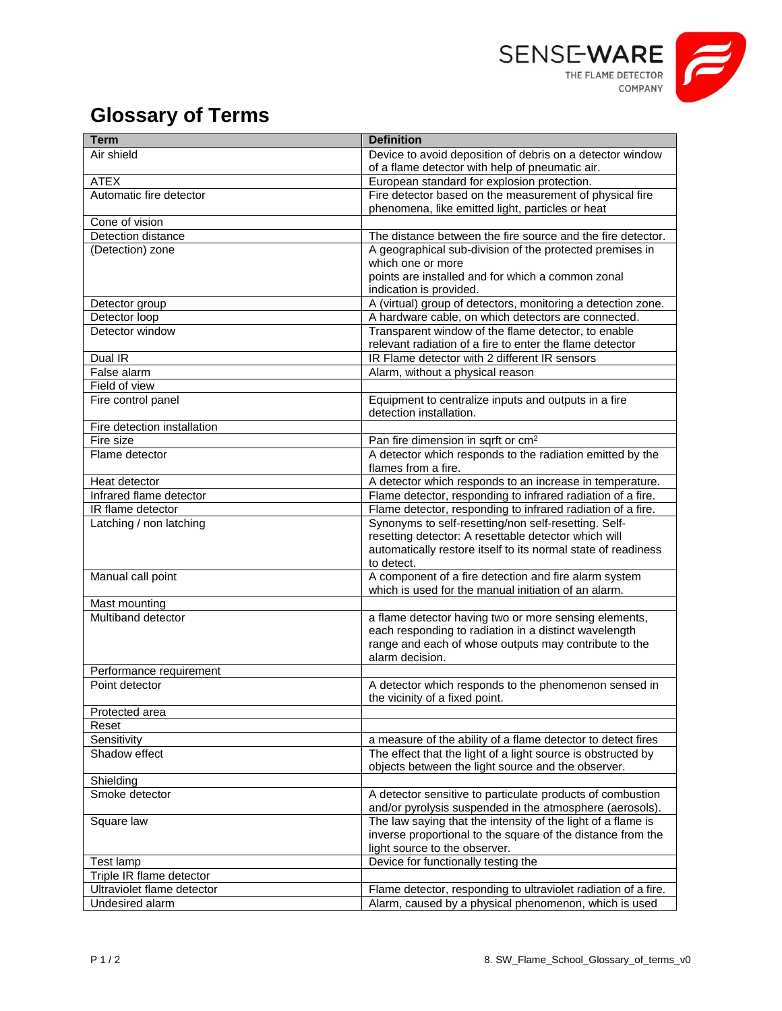

## **Glossary of Terms**

| <b>Term</b>                 | <b>Definition</b>                                                                                                     |
|-----------------------------|-----------------------------------------------------------------------------------------------------------------------|
| Air shield                  | Device to avoid deposition of debris on a detector window                                                             |
|                             | of a flame detector with help of pneumatic air.                                                                       |
| <b>ATEX</b>                 | European standard for explosion protection.                                                                           |
| Automatic fire detector     | Fire detector based on the measurement of physical fire                                                               |
|                             | phenomena, like emitted light, particles or heat                                                                      |
| Cone of vision              |                                                                                                                       |
| Detection distance          | The distance between the fire source and the fire detector.                                                           |
| (Detection) zone            | A geographical sub-division of the protected premises in                                                              |
|                             | which one or more<br>points are installed and for which a common zonal                                                |
|                             | indication is provided.                                                                                               |
| Detector group              | A (virtual) group of detectors, monitoring a detection zone.                                                          |
| Detector loop               | A hardware cable, on which detectors are connected.                                                                   |
| Detector window             | Transparent window of the flame detector, to enable                                                                   |
|                             | relevant radiation of a fire to enter the flame detector                                                              |
| Dual IR                     | IR Flame detector with 2 different IR sensors                                                                         |
| False alarm                 | Alarm, without a physical reason                                                                                      |
| Field of view               |                                                                                                                       |
| Fire control panel          | Equipment to centralize inputs and outputs in a fire                                                                  |
|                             | detection installation.                                                                                               |
| Fire detection installation |                                                                                                                       |
| Fire size                   | Pan fire dimension in sqrft or cm <sup>2</sup>                                                                        |
| Flame detector              | A detector which responds to the radiation emitted by the                                                             |
|                             | flames from a fire.                                                                                                   |
| Heat detector               | A detector which responds to an increase in temperature.                                                              |
| Infrared flame detector     | Flame detector, responding to infrared radiation of a fire.                                                           |
| IR flame detector           | Flame detector, responding to infrared radiation of a fire.                                                           |
| Latching / non latching     | Synonyms to self-resetting/non self-resetting. Self-                                                                  |
|                             | resetting detector: A resettable detector which will<br>automatically restore itself to its normal state of readiness |
|                             | to detect.                                                                                                            |
| Manual call point           | A component of a fire detection and fire alarm system                                                                 |
|                             | which is used for the manual initiation of an alarm.                                                                  |
| Mast mounting               |                                                                                                                       |
| Multiband detector          | a flame detector having two or more sensing elements,                                                                 |
|                             | each responding to radiation in a distinct wavelength                                                                 |
|                             | range and each of whose outputs may contribute to the                                                                 |
|                             | alarm decision.                                                                                                       |
| Performance requirement     |                                                                                                                       |
| Point detector              | A detector which responds to the phenomenon sensed in                                                                 |
|                             | the vicinity of a fixed point.                                                                                        |
| Protected area              |                                                                                                                       |
| Reset<br>Sensitivity        | a measure of the ability of a flame detector to detect fires                                                          |
| Shadow effect               | The effect that the light of a light source is obstructed by                                                          |
|                             | objects between the light source and the observer.                                                                    |
| Shielding                   |                                                                                                                       |
| Smoke detector              | A detector sensitive to particulate products of combustion                                                            |
|                             | and/or pyrolysis suspended in the atmosphere (aerosols).                                                              |
| Square law                  | The law saying that the intensity of the light of a flame is                                                          |
|                             | inverse proportional to the square of the distance from the                                                           |
|                             | light source to the observer.                                                                                         |
| Test lamp                   | Device for functionally testing the                                                                                   |
| Triple IR flame detector    |                                                                                                                       |
| Ultraviolet flame detector  | Flame detector, responding to ultraviolet radiation of a fire.                                                        |
| Undesired alarm             | Alarm, caused by a physical phenomenon, which is used                                                                 |